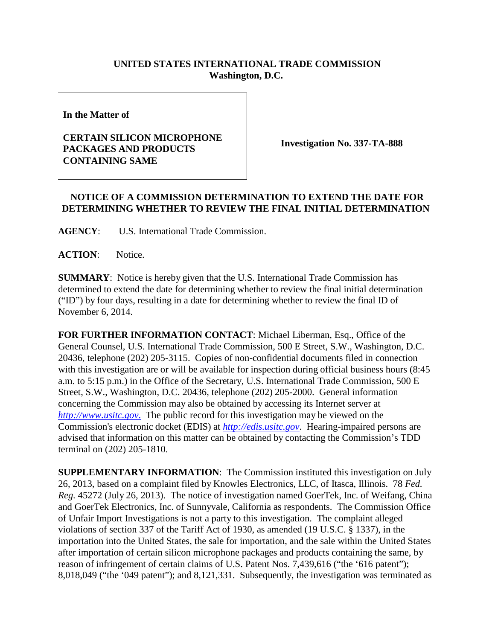## **UNITED STATES INTERNATIONAL TRADE COMMISSION Washington, D.C.**

**In the Matter of**

## **CERTAIN SILICON MICROPHONE PACKAGES AND PRODUCTS CONTAINING SAME**

**Investigation No. 337-TA-888**

## **NOTICE OF A COMMISSION DETERMINATION TO EXTEND THE DATE FOR DETERMINING WHETHER TO REVIEW THE FINAL INITIAL DETERMINATION**

**AGENCY**: U.S. International Trade Commission.

**ACTION**: Notice.

**SUMMARY**: Notice is hereby given that the U.S. International Trade Commission has determined to extend the date for determining whether to review the final initial determination ("ID") by four days, resulting in a date for determining whether to review the final ID of November 6, 2014.

**FOR FURTHER INFORMATION CONTACT**: Michael Liberman, Esq., Office of the General Counsel, U.S. International Trade Commission, 500 E Street, S.W., Washington, D.C. 20436, telephone (202) 205-3115. Copies of non-confidential documents filed in connection with this investigation are or will be available for inspection during official business hours (8:45) a.m. to 5:15 p.m.) in the Office of the Secretary, U.S. International Trade Commission, 500 E Street, S.W., Washington, D.C. 20436, telephone (202) 205-2000. General information concerning the Commission may also be obtained by accessing its Internet server at *[http://www.usitc.gov](http://www.usitc.gov./)*. The public record for this investigation may be viewed on the Commission's electronic docket (EDIS) at *[http://edis.usitc.gov](http://edis.usitc.gov/)*. Hearing-impaired persons are advised that information on this matter can be obtained by contacting the Commission's TDD terminal on (202) 205-1810.

**SUPPLEMENTARY INFORMATION**: The Commission instituted this investigation on July 26, 2013, based on a complaint filed by Knowles Electronics, LLC, of Itasca, Illinois. 78 *Fed. Reg.* 45272 (July 26, 2013). The notice of investigation named GoerTek, Inc. of Weifang, China and GoerTek Electronics, Inc. of Sunnyvale, California as respondents. The Commission Office of Unfair Import Investigations is not a party to this investigation. The complaint alleged violations of section 337 of the Tariff Act of 1930, as amended (19 U.S.C. § 1337), in the importation into the United States, the sale for importation, and the sale within the United States after importation of certain silicon microphone packages and products containing the same, by reason of infringement of certain claims of U.S. Patent Nos. 7,439,616 ("the '616 patent"); 8,018,049 ("the '049 patent"); and 8,121,331. Subsequently, the investigation was terminated as